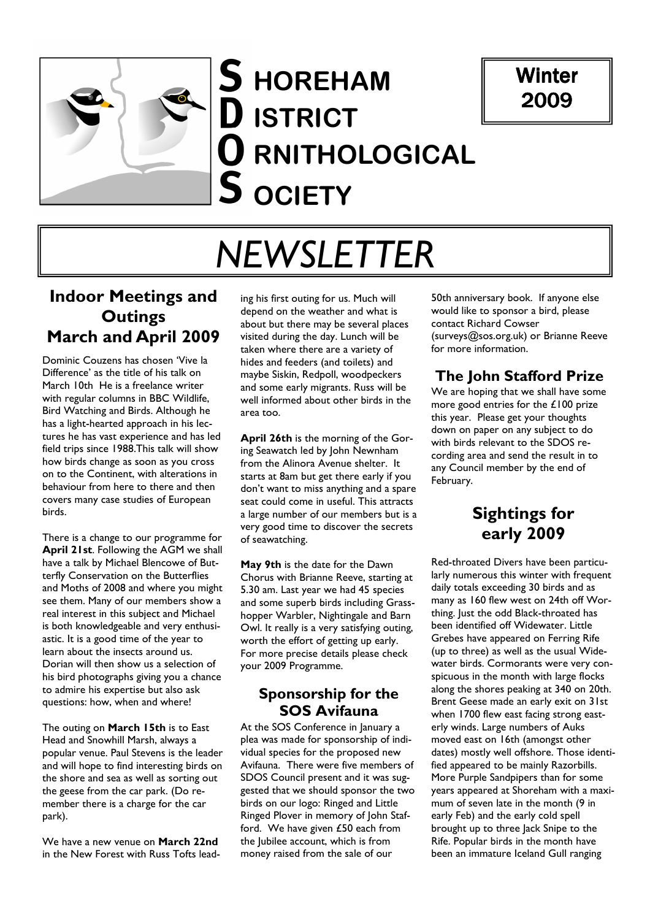

## S HOREHAM D ISTRICT **O** RNITHOLOGICAL  ${\mathsf S}$  ociety

## Winter 2009

# NEWSLETTER

## Indoor Meetings and **Outings** March and April 2009

Dominic Couzens has chosen 'Vive la Difference' as the title of his talk on March 10th He is a freelance writer with regular columns in BBC Wildlife, Bird Watching and Birds. Although he has a light-hearted approach in his lectures he has vast experience and has led field trips since 1988.This talk will show how birds change as soon as you cross on to the Continent, with alterations in behaviour from here to there and then covers many case studies of European birds.

There is a change to our programme for April 21st. Following the AGM we shall have a talk by Michael Blencowe of Butterfly Conservation on the Butterflies and Moths of 2008 and where you might see them. Many of our members show a real interest in this subject and Michael is both knowledgeable and very enthusiastic. It is a good time of the year to learn about the insects around us. Dorian will then show us a selection of his bird photographs giving you a chance to admire his expertise but also ask questions: how, when and where!

The outing on **March 15th** is to East Head and Snowhill Marsh, always a popular venue. Paul Stevens is the leader and will hope to find interesting birds on the shore and sea as well as sorting out the geese from the car park. (Do remember there is a charge for the car park).

We have a new venue on March 22nd in the New Forest with Russ Tofts leading his first outing for us. Much will depend on the weather and what is about but there may be several places visited during the day. Lunch will be taken where there are a variety of hides and feeders (and toilets) and maybe Siskin, Redpoll, woodpeckers and some early migrants. Russ will be well informed about other birds in the area too.

April 26th is the morning of the Goring Seawatch led by John Newnham from the Alinora Avenue shelter. It starts at 8am but get there early if you don't want to miss anything and a spare seat could come in useful. This attracts a large number of our members but is a very good time to discover the secrets of seawatching.

May 9th is the date for the Dawn Chorus with Brianne Reeve, starting at 5.30 am. Last year we had 45 species and some superb birds including Grasshopper Warbler, Nightingale and Barn Owl. It really is a very satisfying outing, worth the effort of getting up early. For more precise details please check your 2009 Programme.

## Sponsorship for the SOS Avifauna

At the SOS Conference in January a plea was made for sponsorship of individual species for the proposed new Avifauna. There were five members of SDOS Council present and it was suggested that we should sponsor the two birds on our logo: Ringed and Little Ringed Plover in memory of John Stafford. We have given £50 each from the Jubilee account, which is from money raised from the sale of our

50th anniversary book. If anyone else would like to sponsor a bird, please contact Richard Cowser (surveys@sos.org.uk) or Brianne Reeve for more information.

## The John Stafford Prize

We are hoping that we shall have some more good entries for the £100 prize this year. Please get your thoughts down on paper on any subject to do with birds relevant to the SDOS recording area and send the result in to any Council member by the end of February.

## Sightings for early 2009

Red-throated Divers have been particularly numerous this winter with frequent daily totals exceeding 30 birds and as many as 160 flew west on 24th off Worthing. Just the odd Black-throated has been identified off Widewater. Little Grebes have appeared on Ferring Rife (up to three) as well as the usual Widewater birds. Cormorants were very conspicuous in the month with large flocks along the shores peaking at 340 on 20th. Brent Geese made an early exit on 31st when 1700 flew east facing strong easterly winds. Large numbers of Auks moved east on 16th (amongst other dates) mostly well offshore. Those identified appeared to be mainly Razorbills. More Purple Sandpipers than for some years appeared at Shoreham with a maximum of seven late in the month (9 in early Feb) and the early cold spell brought up to three Jack Snipe to the Rife. Popular birds in the month have been an immature Iceland Gull ranging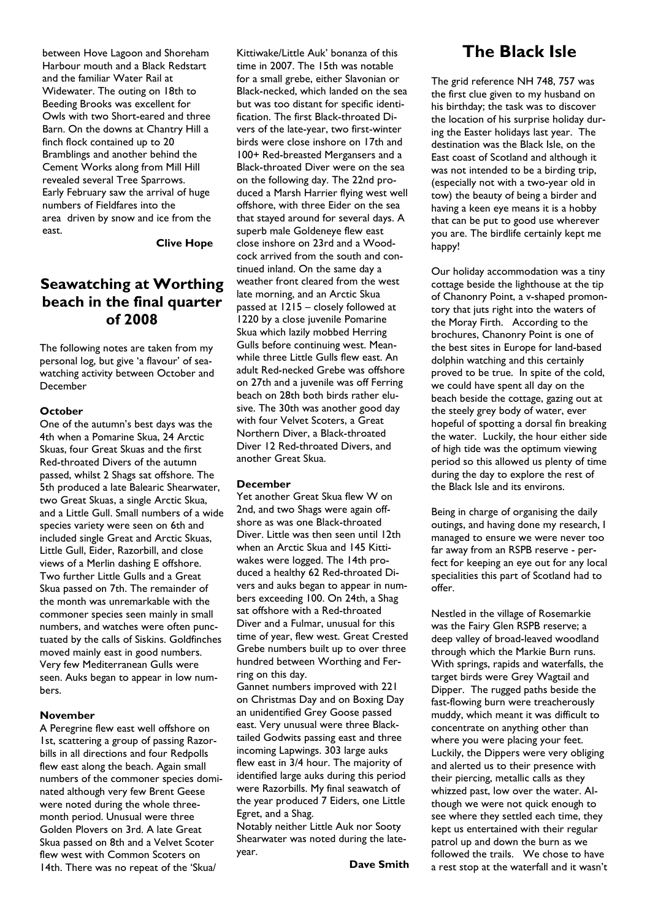between Hove Lagoon and Shoreham Harbour mouth and a Black Redstart and the familiar Water Rail at Widewater. The outing on 18th to Beeding Brooks was excellent for Owls with two Short-eared and three Barn. On the downs at Chantry Hill a finch flock contained up to 20 Bramblings and another behind the Cement Works along from Mill Hill revealed several Tree Sparrows. Early February saw the arrival of huge numbers of Fieldfares into the area driven by snow and ice from the east.

#### Clive Hope

## Seawatching at Worthing beach in the final quarter of 2008

The following notes are taken from my personal log, but give 'a flavour' of seawatching activity between October and December

#### **October**

One of the autumn's best days was the 4th when a Pomarine Skua, 24 Arctic Skuas, four Great Skuas and the first Red-throated Divers of the autumn passed, whilst 2 Shags sat offshore. The 5th produced a late Balearic Shearwater, two Great Skuas, a single Arctic Skua, and a Little Gull. Small numbers of a wide species variety were seen on 6th and included single Great and Arctic Skuas, Little Gull, Eider, Razorbill, and close views of a Merlin dashing E offshore. Two further Little Gulls and a Great Skua passed on 7th. The remainder of the month was unremarkable with the commoner species seen mainly in small numbers, and watches were often punctuated by the calls of Siskins. Goldfinches moved mainly east in good numbers. Very few Mediterranean Gulls were seen. Auks began to appear in low numbers.

#### November

A Peregrine flew east well offshore on 1st, scattering a group of passing Razorbills in all directions and four Redpolls flew east along the beach. Again small numbers of the commoner species dominated although very few Brent Geese were noted during the whole threemonth period. Unusual were three Golden Plovers on 3rd. A late Great Skua passed on 8th and a Velvet Scoter flew west with Common Scoters on 14th. There was no repeat of the 'Skua/

Kittiwake/Little Auk' bonanza of this time in 2007. The 15th was notable for a small grebe, either Slavonian or Black-necked, which landed on the sea but was too distant for specific identification. The first Black-throated Divers of the late-year, two first-winter birds were close inshore on 17th and 100+ Red-breasted Mergansers and a Black-throated Diver were on the sea on the following day. The 22nd produced a Marsh Harrier flying west well offshore, with three Eider on the sea that stayed around for several days. A superb male Goldeneye flew east close inshore on 23rd and a Woodcock arrived from the south and continued inland. On the same day a weather front cleared from the west late morning, and an Arctic Skua passed at 1215 – closely followed at 1220 by a close juvenile Pomarine Skua which lazily mobbed Herring Gulls before continuing west. Meanwhile three Little Gulls flew east. An adult Red-necked Grebe was offshore on 27th and a juvenile was off Ferring beach on 28th both birds rather elusive. The 30th was another good day with four Velvet Scoters, a Great Northern Diver, a Black-throated Diver 12 Red-throated Divers, and another Great Skua.

#### December

Yet another Great Skua flew W on 2nd, and two Shags were again offshore as was one Black-throated Diver. Little was then seen until 12th when an Arctic Skua and 145 Kittiwakes were logged. The 14th produced a healthy 62 Red-throated Divers and auks began to appear in numbers exceeding 100. On 24th, a Shag sat offshore with a Red-throated Diver and a Fulmar, unusual for this time of year, flew west. Great Crested Grebe numbers built up to over three hundred between Worthing and Ferring on this day.

Gannet numbers improved with 221 on Christmas Day and on Boxing Day an unidentified Grey Goose passed east. Very unusual were three Blacktailed Godwits passing east and three incoming Lapwings. 303 large auks flew east in 3/4 hour. The majority of identified large auks during this period were Razorbills. My final seawatch of the year produced 7 Eiders, one Little Egret, and a Shag.

Notably neither Little Auk nor Sooty Shearwater was noted during the lateyear.

Dave Smith

## The Black Isle

The grid reference NH 748, 757 was the first clue given to my husband on his birthday; the task was to discover the location of his surprise holiday during the Easter holidays last year. The destination was the Black Isle, on the East coast of Scotland and although it was not intended to be a birding trip, (especially not with a two-year old in tow) the beauty of being a birder and having a keen eye means it is a hobby that can be put to good use wherever you are. The birdlife certainly kept me happy!

Our holiday accommodation was a tiny cottage beside the lighthouse at the tip of Chanonry Point, a v-shaped promontory that juts right into the waters of the Moray Firth. According to the brochures, Chanonry Point is one of the best sites in Europe for land-based dolphin watching and this certainly proved to be true. In spite of the cold, we could have spent all day on the beach beside the cottage, gazing out at the steely grey body of water, ever hopeful of spotting a dorsal fin breaking the water. Luckily, the hour either side of high tide was the optimum viewing period so this allowed us plenty of time during the day to explore the rest of the Black Isle and its environs.

Being in charge of organising the daily outings, and having done my research, I managed to ensure we were never too far away from an RSPB reserve - perfect for keeping an eye out for any local specialities this part of Scotland had to offer.

Nestled in the village of Rosemarkie was the Fairy Glen RSPB reserve; a deep valley of broad-leaved woodland through which the Markie Burn runs. With springs, rapids and waterfalls, the target birds were Grey Wagtail and Dipper. The rugged paths beside the fast-flowing burn were treacherously muddy, which meant it was difficult to concentrate on anything other than where you were placing your feet. Luckily, the Dippers were very obliging and alerted us to their presence with their piercing, metallic calls as they whizzed past, low over the water. Although we were not quick enough to see where they settled each time, they kept us entertained with their regular patrol up and down the burn as we followed the trails. We chose to have a rest stop at the waterfall and it wasn't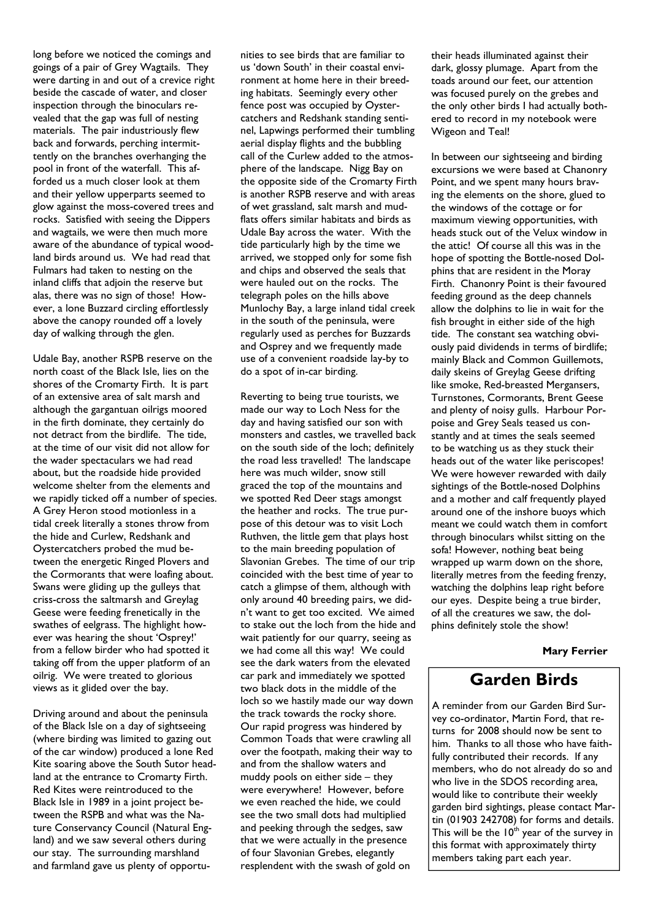long before we noticed the comings and goings of a pair of Grey Wagtails. They were darting in and out of a crevice right beside the cascade of water, and closer inspection through the binoculars revealed that the gap was full of nesting materials. The pair industriously flew back and forwards, perching intermittently on the branches overhanging the pool in front of the waterfall. This afforded us a much closer look at them and their yellow upperparts seemed to glow against the moss-covered trees and rocks. Satisfied with seeing the Dippers and wagtails, we were then much more aware of the abundance of typical woodland birds around us. We had read that Fulmars had taken to nesting on the inland cliffs that adjoin the reserve but alas, there was no sign of those! However, a lone Buzzard circling effortlessly above the canopy rounded off a lovely day of walking through the glen.

Udale Bay, another RSPB reserve on the north coast of the Black Isle, lies on the shores of the Cromarty Firth. It is part of an extensive area of salt marsh and although the gargantuan oilrigs moored in the firth dominate, they certainly do not detract from the birdlife. The tide, at the time of our visit did not allow for the wader spectaculars we had read about, but the roadside hide provided welcome shelter from the elements and we rapidly ticked off a number of species. A Grey Heron stood motionless in a tidal creek literally a stones throw from the hide and Curlew, Redshank and Oystercatchers probed the mud between the energetic Ringed Plovers and the Cormorants that were loafing about. Swans were gliding up the gulleys that criss-cross the saltmarsh and Greylag Geese were feeding frenetically in the swathes of eelgrass. The highlight however was hearing the shout 'Osprey!' from a fellow birder who had spotted it taking off from the upper platform of an oilrig. We were treated to glorious views as it glided over the bay.

Driving around and about the peninsula of the Black Isle on a day of sightseeing (where birding was limited to gazing out of the car window) produced a lone Red Kite soaring above the South Sutor headland at the entrance to Cromarty Firth. Red Kites were reintroduced to the Black Isle in 1989 in a joint project between the RSPB and what was the Nature Conservancy Council (Natural England) and we saw several others during our stay. The surrounding marshland and farmland gave us plenty of opportunities to see birds that are familiar to us 'down South' in their coastal environment at home here in their breeding habitats. Seemingly every other fence post was occupied by Oystercatchers and Redshank standing sentinel, Lapwings performed their tumbling aerial display flights and the bubbling call of the Curlew added to the atmosphere of the landscape. Nigg Bay on the opposite side of the Cromarty Firth is another RSPB reserve and with areas of wet grassland, salt marsh and mudflats offers similar habitats and birds as Udale Bay across the water. With the tide particularly high by the time we arrived, we stopped only for some fish and chips and observed the seals that were hauled out on the rocks. The telegraph poles on the hills above Munlochy Bay, a large inland tidal creek in the south of the peninsula, were regularly used as perches for Buzzards and Osprey and we frequently made use of a convenient roadside lay-by to do a spot of in-car birding.

Reverting to being true tourists, we made our way to Loch Ness for the day and having satisfied our son with monsters and castles, we travelled back on the south side of the loch; definitely the road less travelled! The landscape here was much wilder, snow still graced the top of the mountains and we spotted Red Deer stags amongst the heather and rocks. The true purpose of this detour was to visit Loch Ruthven, the little gem that plays host to the main breeding population of Slavonian Grebes. The time of our trip coincided with the best time of year to catch a glimpse of them, although with only around 40 breeding pairs, we didn't want to get too excited. We aimed to stake out the loch from the hide and wait patiently for our quarry, seeing as we had come all this way! We could see the dark waters from the elevated car park and immediately we spotted two black dots in the middle of the loch so we hastily made our way down the track towards the rocky shore. Our rapid progress was hindered by Common Toads that were crawling all over the footpath, making their way to and from the shallow waters and muddy pools on either side – they were everywhere! However, before we even reached the hide, we could see the two small dots had multiplied and peeking through the sedges, saw that we were actually in the presence of four Slavonian Grebes, elegantly resplendent with the swash of gold on

their heads illuminated against their dark, glossy plumage. Apart from the toads around our feet, our attention was focused purely on the grebes and the only other birds I had actually bothered to record in my notebook were Wigeon and Teal!

In between our sightseeing and birding excursions we were based at Chanonry Point, and we spent many hours braving the elements on the shore, glued to the windows of the cottage or for maximum viewing opportunities, with heads stuck out of the Velux window in the attic! Of course all this was in the hope of spotting the Bottle-nosed Dolphins that are resident in the Moray Firth. Chanonry Point is their favoured feeding ground as the deep channels allow the dolphins to lie in wait for the fish brought in either side of the high tide. The constant sea watching obviously paid dividends in terms of birdlife; mainly Black and Common Guillemots, daily skeins of Greylag Geese drifting like smoke, Red-breasted Mergansers, Turnstones, Cormorants, Brent Geese and plenty of noisy gulls. Harbour Porpoise and Grey Seals teased us constantly and at times the seals seemed to be watching us as they stuck their heads out of the water like periscopes! We were however rewarded with daily sightings of the Bottle-nosed Dolphins and a mother and calf frequently played around one of the inshore buoys which meant we could watch them in comfort through binoculars whilst sitting on the sofa! However, nothing beat being wrapped up warm down on the shore, literally metres from the feeding frenzy, watching the dolphins leap right before our eyes. Despite being a true birder, of all the creatures we saw, the dolphins definitely stole the show!

Mary Ferrier

## Garden Birds

A reminder from our Garden Bird Survey co-ordinator, Martin Ford, that returns for 2008 should now be sent to him. Thanks to all those who have faithfully contributed their records. If any members, who do not already do so and who live in the SDOS recording area, would like to contribute their weekly garden bird sightings, please contact Martin (01903 242708) for forms and details. This will be the  $10<sup>th</sup>$  year of the survey in this format with approximately thirty members taking part each year.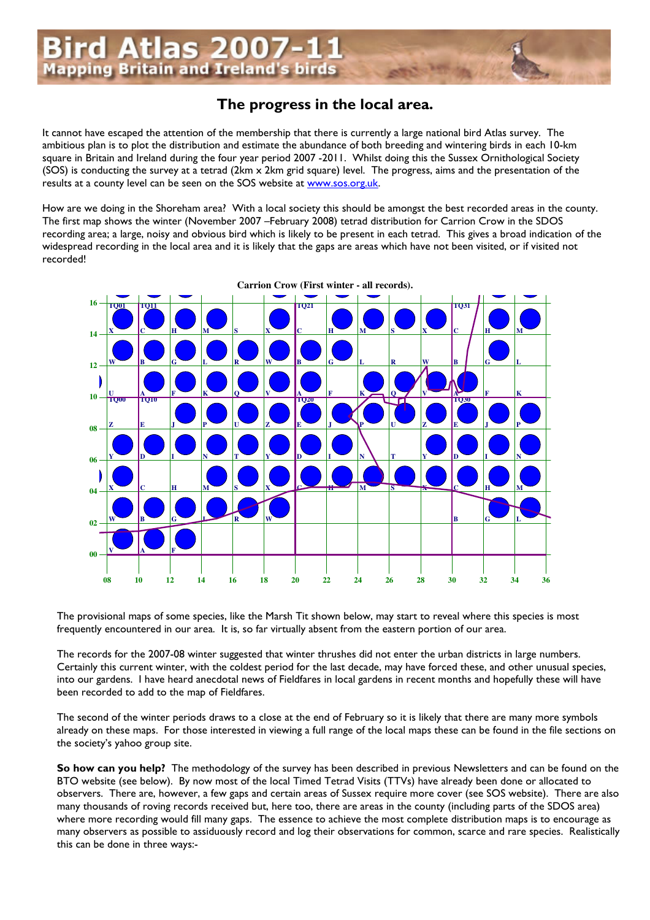## The progress in the local area.

It cannot have escaped the attention of the membership that there is currently a large national bird Atlas survey. The ambitious plan is to plot the distribution and estimate the abundance of both breeding and wintering birds in each 10-km square in Britain and Ireland during the four year period 2007 -2011. Whilst doing this the Sussex Ornithological Society (SOS) is conducting the survey at a tetrad (2km x 2km grid square) level. The progress, aims and the presentation of the results at a county level can be seen on the SOS website at www.sos.org.uk.

How are we doing in the Shoreham area? With a local society this should be amongst the best recorded areas in the county. The first map shows the winter (November 2007 –February 2008) tetrad distribution for Carrion Crow in the SDOS recording area; a large, noisy and obvious bird which is likely to be present in each tetrad. This gives a broad indication of the widespread recording in the local area and it is likely that the gaps are areas which have not been visited, or if visited not recorded!



The provisional maps of some species, like the Marsh Tit shown below, may start to reveal where this species is most frequently encountered in our area. It is, so far virtually absent from the eastern portion of our area.

The records for the 2007-08 winter suggested that winter thrushes did not enter the urban districts in large numbers. Certainly this current winter, with the coldest period for the last decade, may have forced these, and other unusual species, into our gardens. I have heard anecdotal news of Fieldfares in local gardens in recent months and hopefully these will have been recorded to add to the map of Fieldfares.

The second of the winter periods draws to a close at the end of February so it is likely that there are many more symbols already on these maps. For those interested in viewing a full range of the local maps these can be found in the file sections on the society's yahoo group site.

So how can you help? The methodology of the survey has been described in previous Newsletters and can be found on the BTO website (see below). By now most of the local Timed Tetrad Visits (TTVs) have already been done or allocated to observers. There are, however, a few gaps and certain areas of Sussex require more cover (see SOS website). There are also many thousands of roving records received but, here too, there are areas in the county (including parts of the SDOS area) where more recording would fill many gaps. The essence to achieve the most complete distribution maps is to encourage as many observers as possible to assiduously record and log their observations for common, scarce and rare species. Realistically this can be done in three ways:-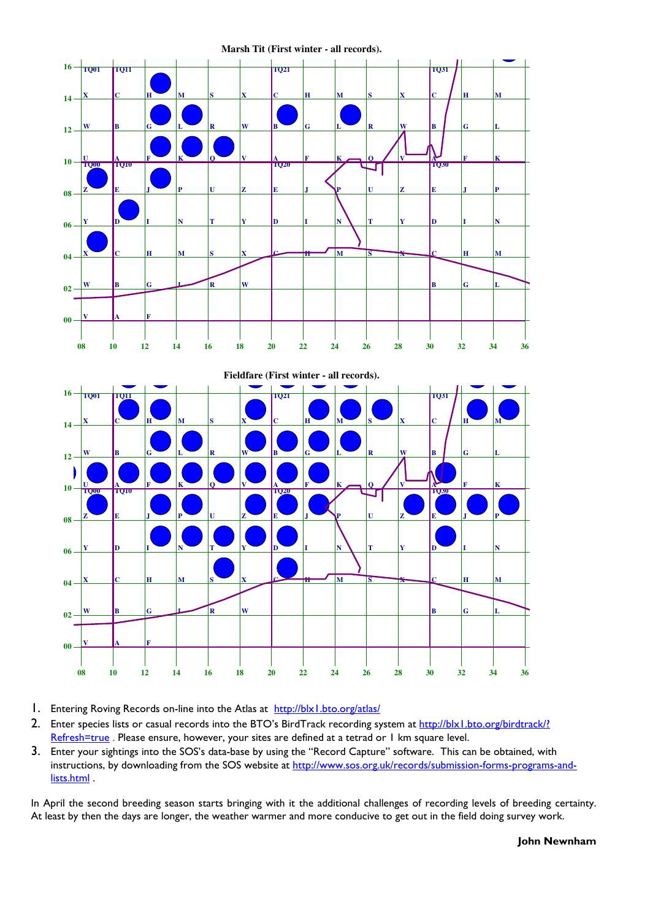

- 1. Entering Roving Records on-line into the Atlas at http://blx1.bto.org/atlas/
- 2. Enter species lists or casual records into the BTO's BirdTrack recording system at http://blx1.bto.org/birdtrack/? Refresh=true . Please ensure, however, your sites are defined at a tetrad or 1 km square level.
- 3. Enter your sightings into the SOS's data-base by using the "Record Capture" software. This can be obtained, with instructions, by downloading from the SOS website at http://www.sos.org.uk/records/submission-forms-programs-andlists.html .

In April the second breeding season starts bringing with it the additional challenges of recording levels of breeding certainty. At least by then the days are longer, the weather warmer and more conducive to get out in the field doing survey work.